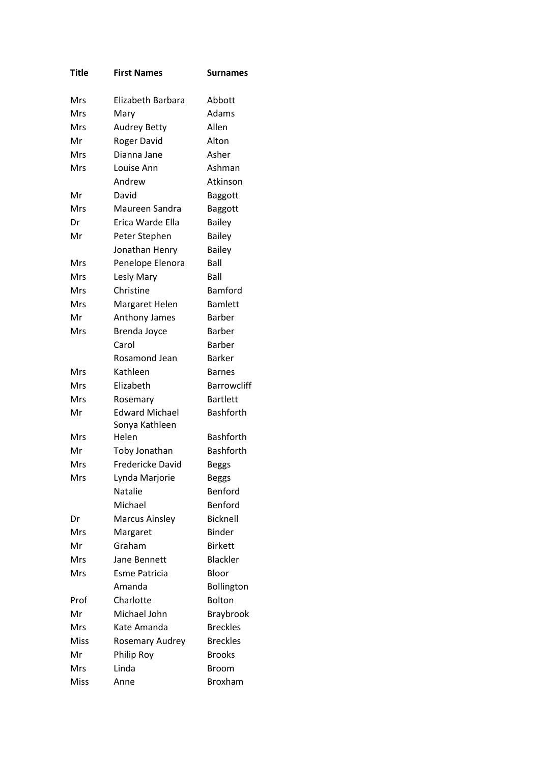| <b>Title</b> | <b>First Names</b>      | <b>Surnames</b>  |
|--------------|-------------------------|------------------|
| Mrs          | Elizabeth Barbara       | Abbott           |
| Mrs          | Mary                    | Adams            |
| Mrs          | <b>Audrey Betty</b>     | Allen            |
| Mr           | Roger David             | Alton            |
| Mrs          | Dianna Jane             | Asher            |
| Mrs          | Louise Ann              | Ashman           |
|              | Andrew                  | Atkinson         |
| Mr           | David                   | Baggott          |
| Mrs          | Maureen Sandra          | Baggott          |
| Dr           | Erica Warde Ella        | <b>Bailey</b>    |
| Mr           | Peter Stephen           | <b>Bailey</b>    |
|              | Jonathan Henry          | <b>Bailey</b>    |
| Mrs          | Penelope Elenora        | Ball             |
| Mrs          | Lesly Mary              | Ball             |
| Mrs          | Christine               | Bamford          |
| Mrs          | Margaret Helen          | <b>Bamlett</b>   |
| Mr           | Anthony James           | <b>Barber</b>    |
| Mrs          | Brenda Joyce            | Barber           |
|              | Carol                   | <b>Barber</b>    |
|              | Rosamond Jean           | <b>Barker</b>    |
| Mrs          | Kathleen                | <b>Barnes</b>    |
| Mrs          | Elizabeth               | Barrowcliff      |
| Mrs          | Rosemary                | <b>Bartlett</b>  |
| Mr           | <b>Edward Michael</b>   | <b>Bashforth</b> |
|              | Sonya Kathleen          |                  |
| Mrs          | Helen                   | <b>Bashforth</b> |
| Mr           | Toby Jonathan           | Bashforth        |
| Mrs          | <b>Fredericke David</b> | <b>Beggs</b>     |
| Mrs          | Lynda Marjorie          | <b>Beggs</b>     |
|              | Natalie                 | Benford          |
|              | Michael                 | Benford          |
| Dr           | <b>Marcus Ainsley</b>   | <b>Bicknell</b>  |
| Mrs          | Margaret                | <b>Binder</b>    |
| Mr           | Graham                  | <b>Birkett</b>   |
| Mrs          | Jane Bennett            | <b>Blackler</b>  |
| <b>Mrs</b>   | Esme Patricia           | Bloor            |
|              | Amanda                  | Bollington       |
| Prof         | Charlotte               | <b>Bolton</b>    |
| Mr           | Michael John            | <b>Braybrook</b> |
| Mrs          | Kate Amanda             | <b>Breckles</b>  |
| <b>Miss</b>  | <b>Rosemary Audrey</b>  | <b>Breckles</b>  |
| Mr           | Philip Roy              | <b>Brooks</b>    |
| Mrs          | Linda                   | Broom            |
| <b>Miss</b>  | Anne                    | <b>Broxham</b>   |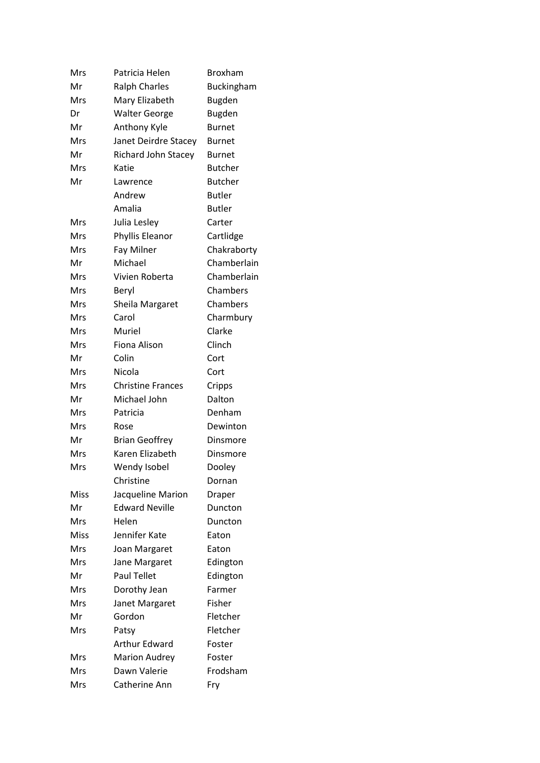| Mrs  | Patricia Helen             | <b>Broxham</b>    |
|------|----------------------------|-------------------|
| Mr   | <b>Ralph Charles</b>       | <b>Buckingham</b> |
| Mrs  | Mary Elizabeth             | <b>Bugden</b>     |
| Dr   | <b>Walter George</b>       | Bugden            |
| Mr   | Anthony Kyle               | <b>Burnet</b>     |
| Mrs  | Janet Deirdre Stacey       | <b>Burnet</b>     |
| Mr   | <b>Richard John Stacey</b> | <b>Burnet</b>     |
| Mrs  | Katie                      | <b>Butcher</b>    |
| Mr   | Lawrence                   | <b>Butcher</b>    |
|      | Andrew                     | <b>Butler</b>     |
|      | Amalia                     | <b>Butler</b>     |
| Mrs  | Julia Lesley               | Carter            |
| Mrs  | Phyllis Eleanor            | Cartlidge         |
| Mrs  | Fay Milner                 | Chakraborty       |
| Mr   | Michael                    | Chamberlain       |
| Mrs  | Vivien Roberta             | Chamberlain       |
| Mrs  | Beryl                      | Chambers          |
| Mrs  | Sheila Margaret            | Chambers          |
| Mrs  | Carol                      | Charmbury         |
| Mrs  | Muriel                     | Clarke            |
| Mrs  | Fiona Alison               | Clinch            |
| Mr   | Colin                      | Cort              |
| Mrs  | Nicola                     | Cort              |
| Mrs  | <b>Christine Frances</b>   | Cripps            |
| Mr   | Michael John               | Dalton            |
| Mrs  | Patricia                   | Denham            |
| Mrs  | Rose                       | Dewinton          |
| Mr   | <b>Brian Geoffrey</b>      | Dinsmore          |
| Mrs  | Karen Elizabeth            | Dinsmore          |
| Mrs  | Wendy Isobel               | Dooley            |
|      | Christine                  | Dornan            |
| Miss | Jacqueline Marion          | Draper            |
| Mr   | <b>Edward Neville</b>      | Duncton           |
| Mrs  | Helen                      | Duncton           |
| Miss | Jennifer Kate              | Eaton             |
| Mrs  | Joan Margaret              | Eaton             |
| Mrs  | Jane Margaret              | Edington          |
| Mr   | <b>Paul Tellet</b>         | Edington          |
| Mrs  | Dorothy Jean               | Farmer            |
| Mrs  | Janet Margaret             | Fisher            |
| Mr   | Gordon                     | Fletcher          |
| Mrs  | Patsy                      | Fletcher          |
|      | <b>Arthur Edward</b>       | Foster            |
| Mrs  | <b>Marion Audrey</b>       | Foster            |
| Mrs  | Dawn Valerie               | Frodsham          |
| Mrs  | Catherine Ann              | Fry               |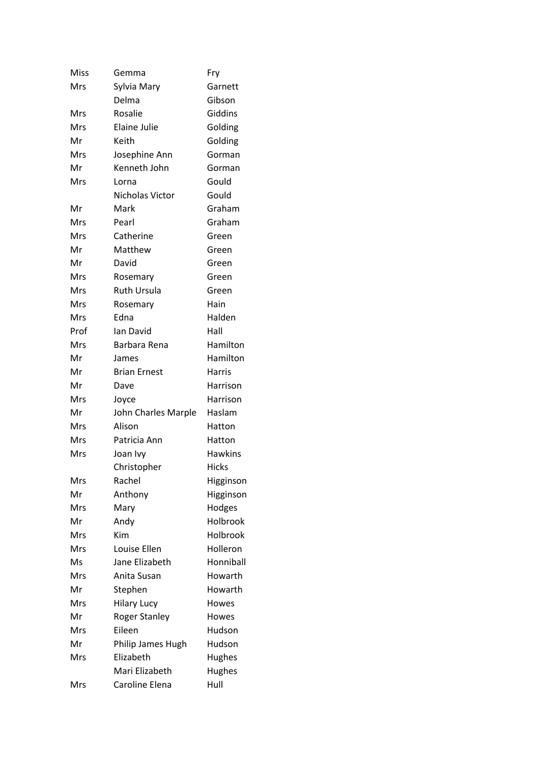| Miss | Gemma               | Fry            |
|------|---------------------|----------------|
| Mrs  | Sylvia Mary         | Garnett        |
|      | Delma               | Gibson         |
| Mrs  | Rosalie             | Giddins        |
| Mrs  | Elaine Julie        | Golding        |
| Mr   | Keith               | Golding        |
| Mrs  | Josephine Ann       | Gorman         |
| Mr   | Kenneth John        | Gorman         |
| Mrs  | Lorna               | Gould          |
|      | Nicholas Victor     | Gould          |
| Mr   | Mark                | Graham         |
| Mrs  | Pearl               | Graham         |
| Mrs  | Catherine           | Green          |
| Mr   | Matthew             | Green          |
| Mr   | David               | Green          |
| Mrs  | Rosemary            | Green          |
| Mrs  | <b>Ruth Ursula</b>  | Green          |
| Mrs  | Rosemary            | Hain           |
| Mrs  | Edna                | Halden         |
| Prof | Ian David           | Hall           |
| Mrs  | Barbara Rena        | Hamilton       |
| Mr   | James               | Hamilton       |
| Mr   | <b>Brian Ernest</b> | Harris         |
| Mr   | Dave                | Harrison       |
| Mrs  | Joyce               | Harrison       |
| Mr   | John Charles Marple | Haslam         |
| Mrs  | Alison              | Hatton         |
| Mrs  | Patricia Ann        | Hatton         |
| Mrs  | Joan Ivy            | <b>Hawkins</b> |
|      | Christopher         | <b>Hicks</b>   |
| Mrs  | Rachel              | Higginson      |
| Mr   | Anthony             | Higginson      |
| Mrs  | Mary                | Hodges         |
| Mr   | Andy                | Holbrook       |
| Mrs  | Kim                 | Holbrook       |
| Mrs  | Louise Ellen        | Holleron       |
| Ms   | Jane Elizabeth      | Honniball      |
| Mrs  | Anita Susan         | Howarth        |
| Mr   | Stephen             | Howarth        |
| Mrs  | <b>Hilary Lucy</b>  | Howes          |
| Mr   | Roger Stanley       | Howes          |
| Mrs  | Eileen              | Hudson         |
| Mr   | Philip James Hugh   | Hudson         |
| Mrs  | Elizabeth           | Hughes         |
|      | Mari Elizabeth      | Hughes         |
| Mrs  | Caroline Elena      | Hull           |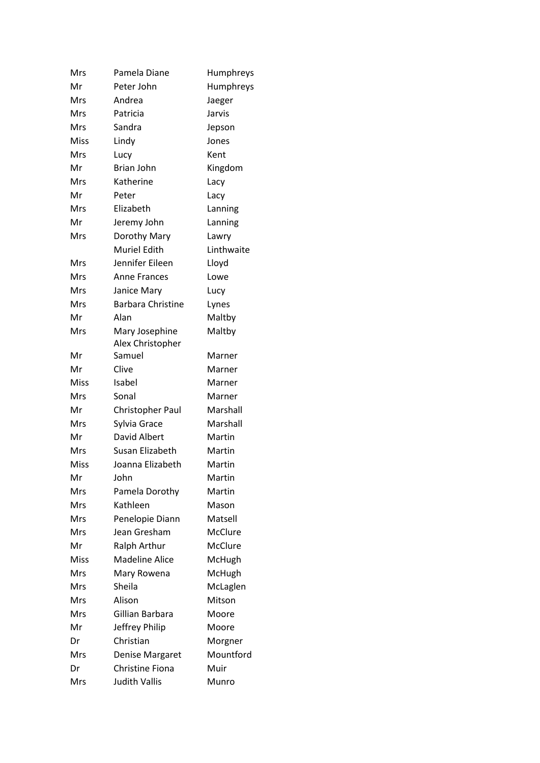| Mrs         | Pamela Diane                       | Humphreys  |
|-------------|------------------------------------|------------|
| Mr          | Peter John                         | Humphreys  |
| Mrs         | Andrea                             | Jaeger     |
| Mrs         | Patricia                           | Jarvis     |
| Mrs         | Sandra                             | Jepson     |
| <b>Miss</b> | Lindy                              | Jones      |
| Mrs         | Lucy                               | Kent       |
| Mr          | Brian John                         | Kingdom    |
| Mrs         | Katherine                          | Lacy       |
| Mr          | Peter                              | Lacy       |
| Mrs         | Elizabeth                          | Lanning    |
| Mr          | Jeremy John                        | Lanning    |
| Mrs         | Dorothy Mary                       | Lawry      |
|             | <b>Muriel Edith</b>                | Linthwaite |
| Mrs         | Jennifer Eileen                    | Lloyd      |
| Mrs         | Anne Frances                       | Lowe       |
| Mrs         | Janice Mary                        | Lucy       |
| Mrs         | <b>Barbara Christine</b>           | Lynes      |
| Mr          | Alan                               | Maltby     |
| Mrs         | Mary Josephine<br>Alex Christopher | Maltby     |
| Mr          | Samuel                             | Marner     |
| Mr          | Clive                              | Marner     |
| <b>Miss</b> | Isabel                             | Marner     |
| Mrs         | Sonal                              | Marner     |
| Mr          | <b>Christopher Paul</b>            | Marshall   |
| Mrs         | Sylvia Grace                       | Marshall   |
| Mr          | David Albert                       | Martin     |
| Mrs         | Susan Elizabeth                    | Martin     |
| Miss        | Joanna Elizabeth                   | Martin     |
| Mr          | John                               | Martin     |
| Mrs         | Pamela Dorothy                     | Martin     |
| Mrs         | Kathleen                           | Mason      |
| Mrs         | Penelopie Diann                    | Matsell    |
| Mrs         | Jean Gresham                       | McClure    |
| Mr          | <b>Ralph Arthur</b>                | McClure    |
| <b>Miss</b> | <b>Madeline Alice</b>              | McHugh     |
| Mrs         | Mary Rowena                        | McHugh     |
| Mrs         | Sheila                             | McLaglen   |
| Mrs         | Alison                             | Mitson     |
| Mrs         | Gillian Barbara                    | Moore      |
| Mr          | Jeffrey Philip                     | Moore      |
| Dr          | Christian                          | Morgner    |
| Mrs         | Denise Margaret                    | Mountford  |
| Dr          | Christine Fiona                    | Muir       |
| Mrs         | <b>Judith Vallis</b>               | Munro      |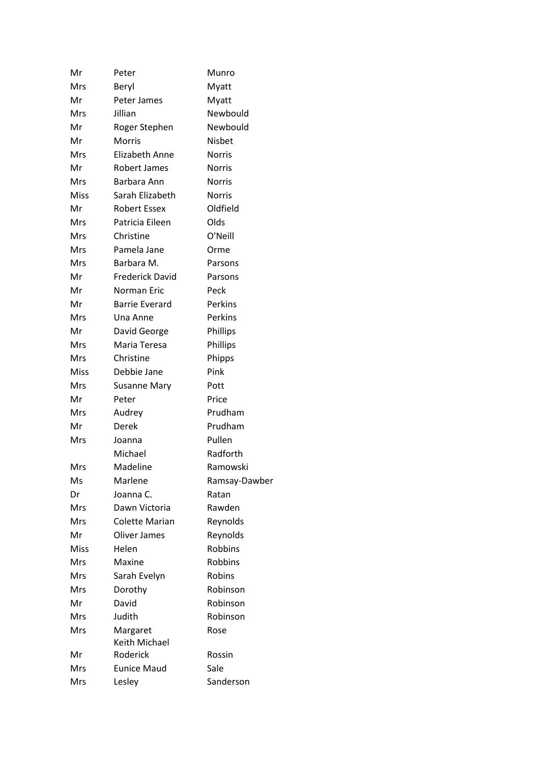| Mr          | Peter                  | Munro         |
|-------------|------------------------|---------------|
| Mrs         | Beryl                  | Myatt         |
| Mr          | Peter James            | Myatt         |
| Mrs         | Jillian                | Newbould      |
| Mr          | Roger Stephen          | Newbould      |
| Mr          | <b>Morris</b>          | <b>Nisbet</b> |
| Mrs         | Elizabeth Anne         | <b>Norris</b> |
| Mr          | Robert James           | <b>Norris</b> |
| Mrs         | Barbara Ann            | <b>Norris</b> |
| <b>Miss</b> | Sarah Elizabeth        | <b>Norris</b> |
| Mr          | <b>Robert Essex</b>    | Oldfield      |
| <b>Mrs</b>  | Patricia Eileen        | Olds          |
| Mrs         | Christine              | O'Neill       |
| <b>Mrs</b>  | Pamela Jane            | Orme          |
| <b>Mrs</b>  | Barbara M.             | Parsons       |
| Mr          | <b>Frederick David</b> | Parsons       |
| Mr          | Norman Eric            | Peck          |
| Mr          | <b>Barrie Everard</b>  | Perkins       |
| Mrs         | Una Anne               | Perkins       |
| Mr          | David George           | Phillips      |
| Mrs         | Maria Teresa           | Phillips      |
| Mrs         | Christine              | Phipps        |
| <b>Miss</b> | Debbie Jane            | Pink          |
| <b>Mrs</b>  | <b>Susanne Mary</b>    | Pott          |
| Mr          | Peter                  | Price         |
| Mrs         | Audrey                 | Prudham       |
| Mr          | Derek                  | Prudham       |
| Mrs         | Joanna                 | Pullen        |
|             | Michael                | Radforth      |
| Mrs         | Madeline               | Ramowski      |
| Ms          | Marlene                | Ramsay-Dawber |
| Dr          | Joanna C.              | Ratan         |
| Mrs         | Dawn Victoria          | Rawden        |
| Mrs         | Colette Marian         | Reynolds      |
| Mr          | Oliver James           | Reynolds      |
| <b>Miss</b> | Helen                  | Robbins       |
| Mrs         | Maxine                 | Robbins       |
| Mrs         | Sarah Evelyn           | Robins        |
| Mrs         | Dorothy                | Robinson      |
| Mr          | David                  | Robinson      |
| Mrs         | Judith                 | Robinson      |
| Mrs         | Margaret               | Rose          |
|             | Keith Michael          |               |
| Mr          | Roderick               | Rossin        |
| Mrs         | <b>Eunice Maud</b>     | Sale          |
| Mrs         | Lesley                 | Sanderson     |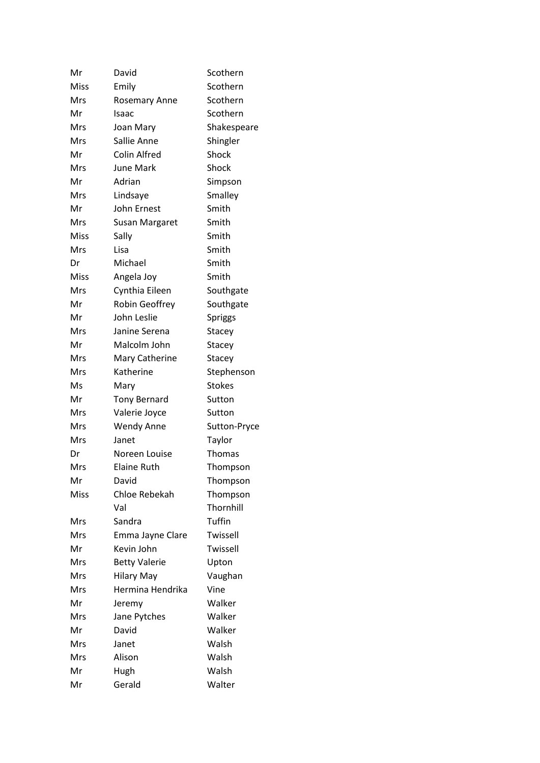| Mr          | David                | Scothern      |
|-------------|----------------------|---------------|
| <b>Miss</b> | Emily                | Scothern      |
| Mrs         | <b>Rosemary Anne</b> | Scothern      |
| Mr          | Isaac                | Scothern      |
| Mrs         | Joan Mary            | Shakespeare   |
| Mrs         | Sallie Anne          | Shingler      |
| Mr          | Colin Alfred         | Shock         |
| Mrs         | <b>June Mark</b>     | Shock         |
| Mr          | Adrian               | Simpson       |
| Mrs         | Lindsaye             | Smalley       |
| Mr          | John Ernest          | Smith         |
| Mrs         | Susan Margaret       | Smith         |
| Miss        | Sally                | Smith         |
| Mrs         | Lisa                 | Smith         |
| Dr          | Michael              | Smith         |
| <b>Miss</b> | Angela Joy           | Smith         |
| Mrs         | Cynthia Eileen       | Southgate     |
| Mr          | Robin Geoffrey       | Southgate     |
| Mr          | John Leslie          | Spriggs       |
| Mrs         | Janine Serena        | Stacey        |
| Mr          | Malcolm John         | Stacey        |
| Mrs         | Mary Catherine       | Stacey        |
| Mrs         | Katherine            | Stephenson    |
| Ms          | Mary                 | <b>Stokes</b> |
| Mr          | <b>Tony Bernard</b>  | Sutton        |
| Mrs         | Valerie Joyce        | Sutton        |
| Mrs         | <b>Wendy Anne</b>    | Sutton-Pryce  |
| Mrs         | Janet                | Taylor        |
| Dr          | Noreen Louise        | Thomas        |
| Mrs         | Elaine Ruth          | Thompson      |
| Mr          | David                | Thompson      |
| <b>Miss</b> | Chloe Rebekah        | Thompson      |
|             | Val                  | Thornhill     |
| Mrs         | Sandra               | Tuffin        |
| Mrs         | Emma Jayne Clare     | Twissell      |
| Mr          | Kevin John           | Twissell      |
| Mrs         | <b>Betty Valerie</b> | Upton         |
| Mrs         | <b>Hilary May</b>    | Vaughan       |
| Mrs         | Hermina Hendrika     | Vine          |
| Mr          | Jeremy               | Walker        |
| Mrs         | Jane Pytches         | Walker        |
| Mr          | David                | Walker        |
| Mrs         | Janet                | Walsh         |
| Mrs         | Alison               | Walsh         |
| Mr          | Hugh                 | Walsh         |
| Mr          | Gerald               | Walter        |